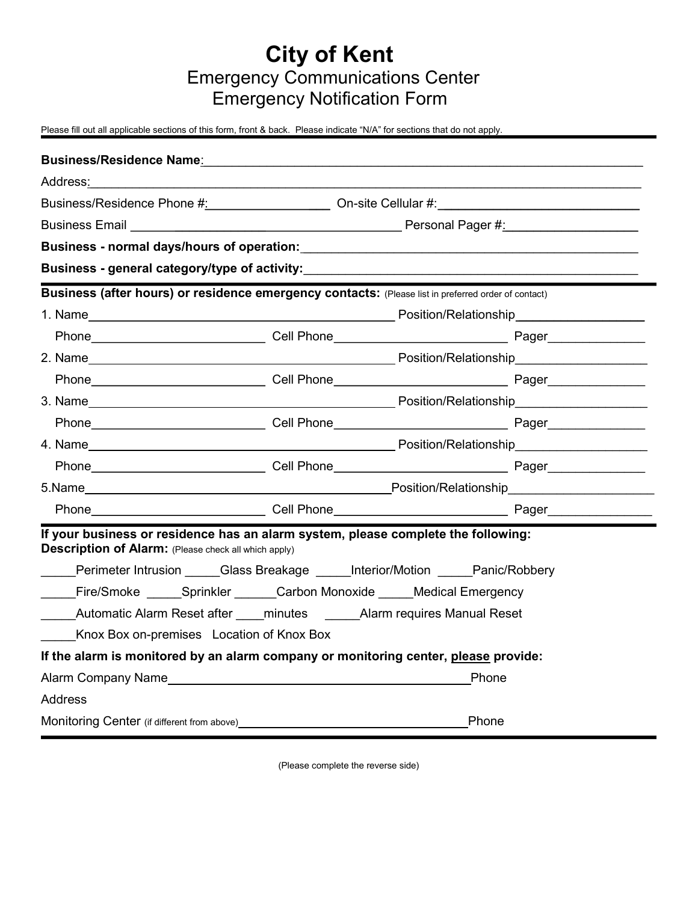## City of Kent Emergency Communications Center Emergency Notification Form

Please fill out all applicable sections of this form, front & back. Please indicate "N/A" for sections that do not apply.

| Business/Residence Name <b>ries and Contract Contract Contract Contract Contract Contract Contract Contract Control Contract Contract Contract Contract Contract Contract Contract Contract Contract Contract Contract Contract C</b> |  |       |  |  |  |
|---------------------------------------------------------------------------------------------------------------------------------------------------------------------------------------------------------------------------------------|--|-------|--|--|--|
| Address: Andreas Address and Address and Address and Address and Address and Address and Address and Address a                                                                                                                        |  |       |  |  |  |
|                                                                                                                                                                                                                                       |  |       |  |  |  |
|                                                                                                                                                                                                                                       |  |       |  |  |  |
|                                                                                                                                                                                                                                       |  |       |  |  |  |
| Business - general category/type of activity:___________________________________                                                                                                                                                      |  |       |  |  |  |
| Business (after hours) or residence emergency contacts: (Please list in preferred order of contact)                                                                                                                                   |  |       |  |  |  |
|                                                                                                                                                                                                                                       |  |       |  |  |  |
|                                                                                                                                                                                                                                       |  |       |  |  |  |
|                                                                                                                                                                                                                                       |  |       |  |  |  |
|                                                                                                                                                                                                                                       |  |       |  |  |  |
|                                                                                                                                                                                                                                       |  |       |  |  |  |
|                                                                                                                                                                                                                                       |  |       |  |  |  |
|                                                                                                                                                                                                                                       |  |       |  |  |  |
|                                                                                                                                                                                                                                       |  |       |  |  |  |
| 5.Name Position/Relationship                                                                                                                                                                                                          |  |       |  |  |  |
|                                                                                                                                                                                                                                       |  |       |  |  |  |
| If your business or residence has an alarm system, please complete the following:<br><b>Description of Alarm:</b> (Please check all which apply)                                                                                      |  |       |  |  |  |
| ____Perimeter Intrusion _____Glass Breakage _____Interior/Motion _____Panic/Robbery                                                                                                                                                   |  |       |  |  |  |
| Fire/Smoke Sprinkler Carbon Monoxide Medical Emergency                                                                                                                                                                                |  |       |  |  |  |
| Automatic Alarm Reset after ____ minutes ______ Alarm requires Manual Reset                                                                                                                                                           |  |       |  |  |  |
| Knox Box on-premises Location of Knox Box                                                                                                                                                                                             |  |       |  |  |  |
| If the alarm is monitored by an alarm company or monitoring center, please provide:                                                                                                                                                   |  |       |  |  |  |
|                                                                                                                                                                                                                                       |  | Phone |  |  |  |
| <b>Address</b>                                                                                                                                                                                                                        |  |       |  |  |  |
| Monitoring Center (if different from above) _________                                                                                                                                                                                 |  | Phone |  |  |  |

(Please complete the reverse side)